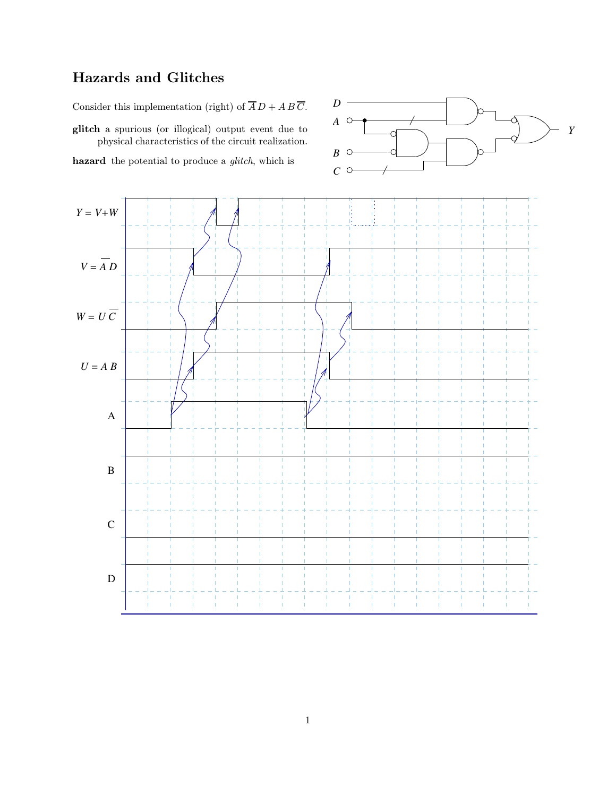## Hazards and Glitches

Consider this implementation (right) of  $\overline{A}D + AB\overline{C}$ .

glitch a spurious (or illogical) output event due to physical characteristics of the circuit realization.

hazard the potential to produce a *glitch*, which is